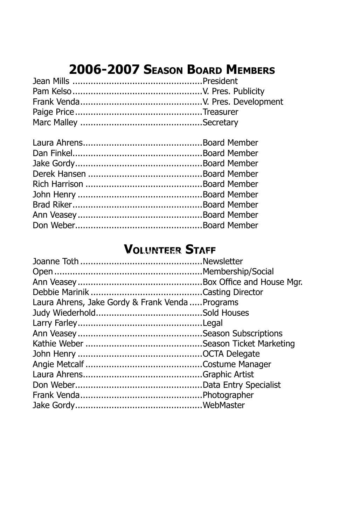# **2006-2007 Season Board Members**

# **VOLUNTEER STAFF**

| Laura Ahrens, Jake Gordy & Frank Venda  Programs |  |
|--------------------------------------------------|--|
|                                                  |  |
|                                                  |  |
|                                                  |  |
|                                                  |  |
|                                                  |  |
|                                                  |  |
|                                                  |  |
|                                                  |  |
|                                                  |  |
|                                                  |  |
|                                                  |  |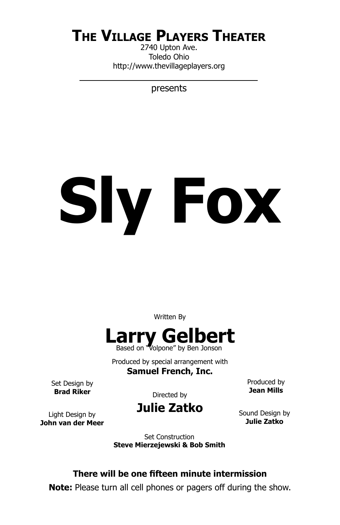# **The Village Players Theater**

2740 Upton Ave. Toledo Ohio http://www.thevillageplayers.org

presents

# **Sly Fox**

Written By



Produced by special arrangement with

**Samuel French, Inc.**

Set Design by **Brad Riker**

Directed by

Produced by **Jean Mills**

Light Design by **John van der Meer** **Julie Zatko**

Sound Design by **Julie Zatko**

Set Construction **Steve Mierzejewski & Bob Smith**

### **There will be one fifteen minute intermission**

**Note:** Please turn all cell phones or pagers off during the show.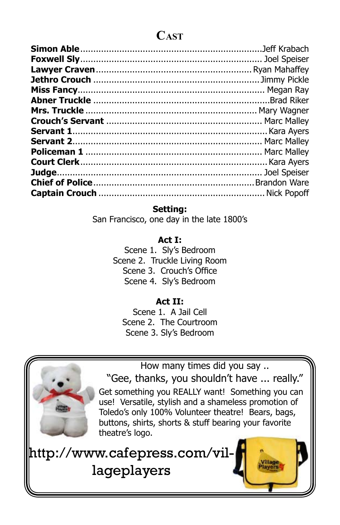### **Cast**

### **Setting:**

San Francisco, one day in the late 1800's

### **Act I:**

Scene 1. Sly's Bedroom Scene 2. Truckle Living Room Scene 3. Crouch's Office Scene 4. Sly's Bedroom

### **Act II:**

Scene 1. A Jail Cell Scene 2. The Courtroom Scene 3. Sly's Bedroom



"Gee, thanks, you shouldn't have ... really." Get something you REALLY want! Something you can use! Versatile, stylish and a shameless promotion of Toledo's only 100% Volunteer theatre! Bears, bags, buttons, shirts, shorts & stuff bearing your favorite theatre's logo.

How many times did you say ..

http://www.cafepress.com/villageplayers

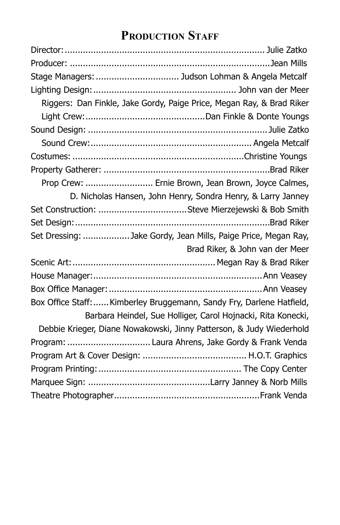# **Production Staff**

| Stage Managers:  Judson Lohman & Angela Metcalf                     |                                                                       |
|---------------------------------------------------------------------|-----------------------------------------------------------------------|
|                                                                     |                                                                       |
|                                                                     | Riggers: Dan Finkle, Jake Gordy, Paige Price, Megan Ray, & Brad Riker |
|                                                                     |                                                                       |
|                                                                     |                                                                       |
|                                                                     |                                                                       |
|                                                                     |                                                                       |
|                                                                     |                                                                       |
|                                                                     | Prop Crew:  Ernie Brown, Jean Brown, Joyce Calmes,                    |
|                                                                     | D. Nicholas Hansen, John Henry, Sondra Henry, & Larry Janney          |
|                                                                     |                                                                       |
|                                                                     |                                                                       |
| Set Dressing: Jake Gordy, Jean Mills, Paige Price, Megan Ray,       |                                                                       |
|                                                                     | Brad Riker, & John van der Meer                                       |
|                                                                     |                                                                       |
|                                                                     |                                                                       |
|                                                                     |                                                                       |
| Box Office Staff:Kimberley Bruggemann, Sandy Fry, Darlene Hatfield, |                                                                       |
|                                                                     | Barbara Heindel, Sue Holliger, Carol Hojnacki, Rita Konecki,          |
|                                                                     | Debbie Krieger, Diane Nowakowski, Jinny Patterson, & Judy Wiederhold  |
| Program:  Laura Ahrens, Jake Gordy & Frank Venda                    |                                                                       |
|                                                                     |                                                                       |
|                                                                     |                                                                       |
|                                                                     |                                                                       |
|                                                                     |                                                                       |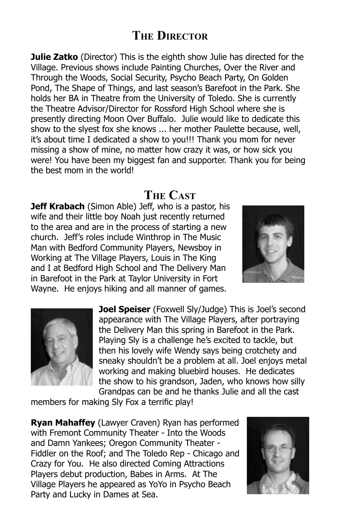## **The Director**

**Julie Zatko** (Director) This is the eighth show Julie has directed for the Village. Previous shows include Painting Churches, Over the River and Through the Woods, Social Security, Psycho Beach Party, On Golden Pond, The Shape of Things, and last season's Barefoot in the Park. She holds her BA in Theatre from the University of Toledo. She is currently the Theatre Advisor/Director for Rossford High School where she is presently directing Moon Over Buffalo. Julie would like to dedicate this show to the slyest fox she knows ... her mother Paulette because, well, it's about time I dedicated a show to you!!! Thank you mom for never missing a show of mine, no matter how crazy it was, or how sick you were! You have been my biggest fan and supporter. Thank you for being the best mom in the world!

### **The Cast**

**Jeff Krabach** (Simon Able) Jeff, who is a pastor, his wife and their little boy Noah just recently returned to the area and are in the process of starting a new church. Jeff's roles include Winthrop in The Music Man with Bedford Community Players, Newsboy in Working at The Village Players, Louis in The King and I at Bedford High School and The Delivery Man in Barefoot in the Park at Taylor University in Fort Wayne. He enjoys hiking and all manner of games.





**Joel Speiser** (Foxwell Sly/Judge) This is Joel's second appearance with The Village Players, after portraying the Delivery Man this spring in Barefoot in the Park. Playing Sly is a challenge he's excited to tackle, but then his lovely wife Wendy says being crotchety and sneaky shouldn't be a problem at all. Joel enjoys metal working and making bluebird houses. He dedicates the show to his grandson, Jaden, who knows how silly Grandpas can be and he thanks Julie and all the cast

members for making Sly Fox a terrific play!

**Ryan Mahaffey** (Lawyer Craven) Ryan has performed with Fremont Community Theater - Into the Woods and Damn Yankees; Oregon Community Theater - Fiddler on the Roof; and The Toledo Rep - Chicago and Crazy for You. He also directed Coming Attractions Players debut production, Babes in Arms. At The Village Players he appeared as YoYo in Psycho Beach Party and Lucky in Dames at Sea.

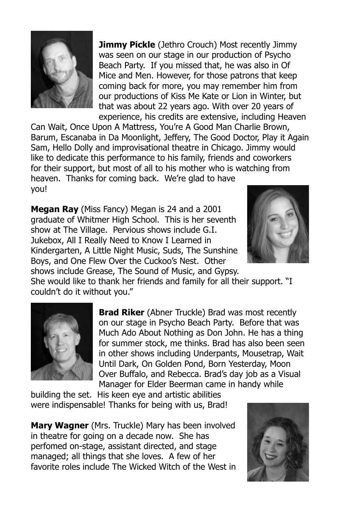

**Jimmy Pickle** (Jethro Crouch) Most recently Jimmy was seen on our stage in our production of Psycho Beach Party. If you missed that, he was also in Of Mice and Men. However, for those patrons that keep coming back for more, you may remember him from our productions of Kiss Me Kate or Lion in Winter, but that was about 22 years ago. With over 20 years of experience, his credits are extensive, including Heaven

Can Wait, Once Upon A Mattress, You're A Good Man Charlie Brown, Barum, Escanaba in Da Moonlight, Jeffery, The Good Doctor, Play it Again Sam, Hello Dolly and improvisational theatre in Chicago. Jimmy would like to dedicate this performance to his family, friends and coworkers for their support, but most of all to his mother who is watching from heaven. Thanks for coming back. We're glad to have you!

**Megan Ray** (Miss Fancy) Megan is 24 and a 2001 graduate of Whitmer High School. This is her seventh show at The Village. Pervious shows include G.I. Jukebox, All I Really Need to Know I Learned in Kindergarten, A Little Night Music, Suds, The Sunshine Boys, and One Flew Over the Cuckoo's Nest. Other shows include Grease, The Sound of Music, and Gypsy.



She would like to thank her friends and family for all their support. "I couldn't do it without you."



**Brad Riker** (Abner Truckle) Brad was most recently on our stage in Psycho Beach Party. Before that was Much Ado About Nothing as Don John. He has a thing for summer stock, me thinks. Brad has also been seen in other shows including Underpants, Mousetrap, Wait Until Dark, On Golden Pond, Born Yesterday, Moon Over Buffalo, and Rebecca. Brad's day job as a Visual Manager for Elder Beerman came in handy while

building the set. His keen eye and artistic abilities were indispensable! Thanks for being with us, Brad!

**Mary Wagner** (Mrs. Truckle) Mary has been involved in theatre for going on a decade now. She has perfomed on-stage, assistant directed, and stage managed; all things that she loves. A few of her favorite roles include The Wicked Witch of the West in

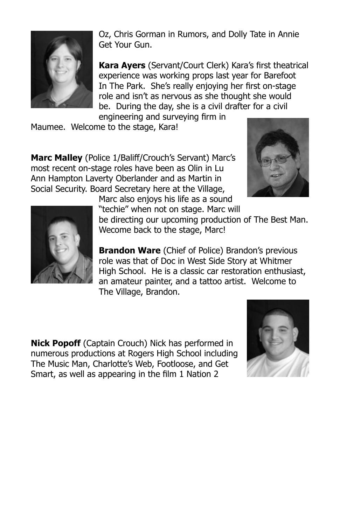

Oz, Chris Gorman in Rumors, and Dolly Tate in Annie Get Your Gun.

**Kara Ayers** (Servant/Court Clerk) Kara's first theatrical experience was working props last year for Barefoot In The Park. She's really enjoying her first on-stage role and isn't as nervous as she thought she would be. During the day, she is a civil drafter for a civil engineering and surveying firm in

Maumee. Welcome to the stage, Kara!

**Marc Malley** (Police 1/Baliff/Crouch's Servant) Marc's most recent on-stage roles have been as Olin in Lu Ann Hampton Laverty Oberlander and as Martin in Social Security. Board Secretary here at the Village,

Marc also enjoys his life as a sound





"techie" when not on stage. Marc will be directing our upcoming production of The Best Man. Wecome back to the stage, Marc!

**Brandon Ware** (Chief of Police) Brandon's previous role was that of Doc in West Side Story at Whitmer High School. He is a classic car restoration enthusiast, an amateur painter, and a tattoo artist. Welcome to The Village, Brandon.

**Nick Popoff** (Captain Crouch) Nick has performed in numerous productions at Rogers High School including The Music Man, Charlotte's Web, Footloose, and Get Smart, as well as appearing in the film 1 Nation 2

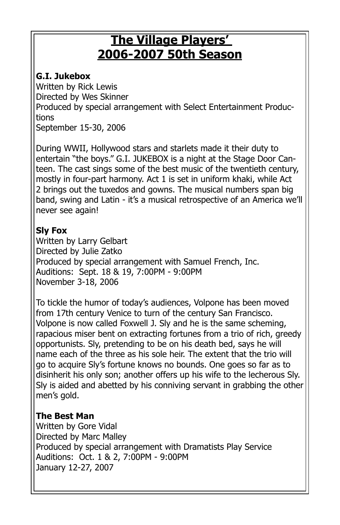# **The Village Players' 2006-2007 50th Season**

### **G.I. Jukebox**

Written by Rick Lewis Directed by Wes Skinner Produced by special arrangement with Select Entertainment Productions September 15-30, 2006

During WWII, Hollywood stars and starlets made it their duty to entertain "the boys." G.I. JUKEBOX is a night at the Stage Door Canteen. The cast sings some of the best music of the twentieth century, mostly in four-part harmony. Act 1 is set in uniform khaki, while Act 2 brings out the tuxedos and gowns. The musical numbers span big band, swing and Latin - it's a musical retrospective of an America we'll never see again!

### **Sly Fox**

Written by Larry Gelbart Directed by Julie Zatko Produced by special arrangement with Samuel French, Inc. Auditions: Sept. 18 & 19, 7:00PM - 9:00PM November 3-18, 2006

To tickle the humor of today's audiences, Volpone has been moved from 17th century Venice to turn of the century San Francisco. Volpone is now called Foxwell J. Sly and he is the same scheming, rapacious miser bent on extracting fortunes from a trio of rich, greedy opportunists. Sly, pretending to be on his death bed, says he will name each of the three as his sole heir. The extent that the trio will go to acquire Sly's fortune knows no bounds. One goes so far as to disinherit his only son; another offers up his wife to the lecherous Sly. Sly is aided and abetted by his conniving servant in grabbing the other men's gold.

### **The Best Man**

Written by Gore Vidal Directed by Marc Malley Produced by special arrangement with Dramatists Play Service Auditions: Oct. 1 & 2, 7:00PM - 9:00PM January 12-27, 2007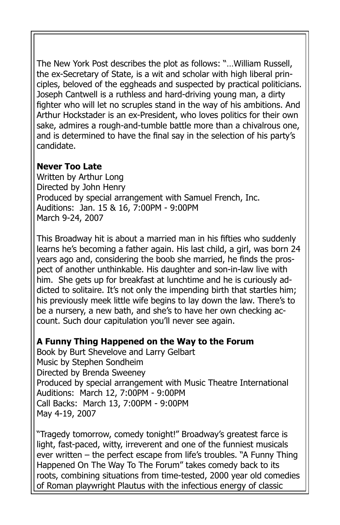The New York Post describes the plot as follows: "…William Russell, the ex-Secretary of State, is a wit and scholar with high liberal principles, beloved of the eggheads and suspected by practical politicians. Joseph Cantwell is a ruthless and hard-driving young man, a dirty fighter who will let no scruples stand in the way of his ambitions. And Arthur Hockstader is an ex-President, who loves politics for their own sake, admires a rough-and-tumble battle more than a chivalrous one, and is determined to have the final say in the selection of his party's candidate.

### **Never Too Late**

Written by Arthur Long Directed by John Henry Produced by special arrangement with Samuel French, Inc. Auditions: Jan. 15 & 16, 7:00PM - 9:00PM March 9-24, 2007

This Broadway hit is about a married man in his fifties who suddenly learns he's becoming a father again. His last child, a girl, was born 24 years ago and, considering the boob she married, he finds the prospect of another unthinkable. His daughter and son-in-law live with him. She gets up for breakfast at lunchtime and he is curiously addicted to solitaire. It's not only the impending birth that startles him; his previously meek little wife begins to lay down the law. There's to be a nursery, a new bath, and she's to have her own checking account. Such dour capitulation you'll never see again.

### **A Funny Thing Happened on the Way to the Forum**

Book by Burt Shevelove and Larry Gelbart Music by Stephen Sondheim Directed by Brenda Sweeney Produced by special arrangement with Music Theatre International Auditions: March 12, 7:00PM - 9:00PM Call Backs: March 13, 7:00PM - 9:00PM May 4-19, 2007

"Tragedy tomorrow, comedy tonight!" Broadway's greatest farce is light, fast-paced, witty, irreverent and one of the funniest musicals ever written – the perfect escape from life's troubles. "A Funny Thing Happened On The Way To The Forum" takes comedy back to its roots, combining situations from time-tested, 2000 year old comedies of Roman playwright Plautus with the infectious energy of classic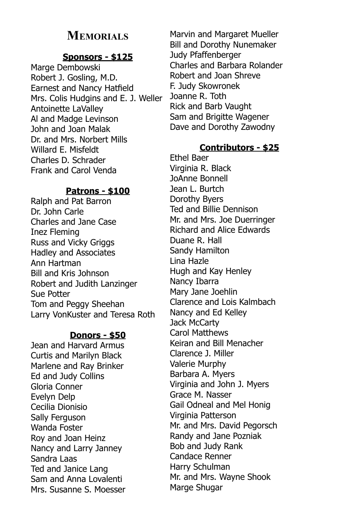### **Memorials**

### **Sponsors - \$125**

Marge Dembowski Robert J. Gosling, M.D. Earnest and Nancy Hatfield Mrs. Colis Hudgins and E. J. Weller Antoinette LaValley Al and Madge Levinson John and Joan Malak Dr. and Mrs. Norbert Mills Willard E. Misfeldt Charles D. Schrader Frank and Carol Venda

### **Patrons - \$100**

Ralph and Pat Barron Dr. John Carle Charles and Jane Case Inez Fleming Russ and Vicky Griggs Hadley and Associates Ann Hartman Bill and Kris Johnson Robert and Judith Lanzinger Sue Potter Tom and Peggy Sheehan Larry VonKuster and Teresa Roth

### **Donors - \$50**

Jean and Harvard Armus Curtis and Marilyn Black Marlene and Ray Brinker Ed and Judy Collins Gloria Conner Evelyn Delp Cecilia Dionisio Sally Ferguson Wanda Foster Roy and Joan Heinz Nancy and Larry Janney Sandra Laas Ted and Janice Lang Sam and Anna Lovalenti Mrs. Susanne S. Moesser

Marvin and Margaret Mueller Bill and Dorothy Nunemaker Judy Pfaffenberger Charles and Barbara Rolander Robert and Joan Shreve F. Judy Skowronek Joanne R. Toth Rick and Barb Vaught Sam and Brigitte Wagener Dave and Dorothy Zawodny

### **Contributors - \$25**

Ethel Baer Virginia R. Black JoAnne Bonnell Jean L. Burtch Dorothy Byers Ted and Billie Dennison Mr. and Mrs. Joe Duerringer Richard and Alice Edwards Duane R. Hall Sandy Hamilton Lina Hazle Hugh and Kay Henley Nancy Ibarra Mary Jane Joehlin Clarence and Lois Kalmbach Nancy and Ed Kelley Jack McCarty Carol Matthews Keiran and Bill Menacher Clarence J. Miller Valerie Murphy Barbara A. Myers Virginia and John J. Myers Grace M. Nasser Gail Odneal and Mel Honig Virginia Patterson Mr. and Mrs. David Pegorsch Randy and Jane Pozniak Bob and Judy Rank Candace Renner Harry Schulman Mr. and Mrs. Wayne Shook Marge Shugar